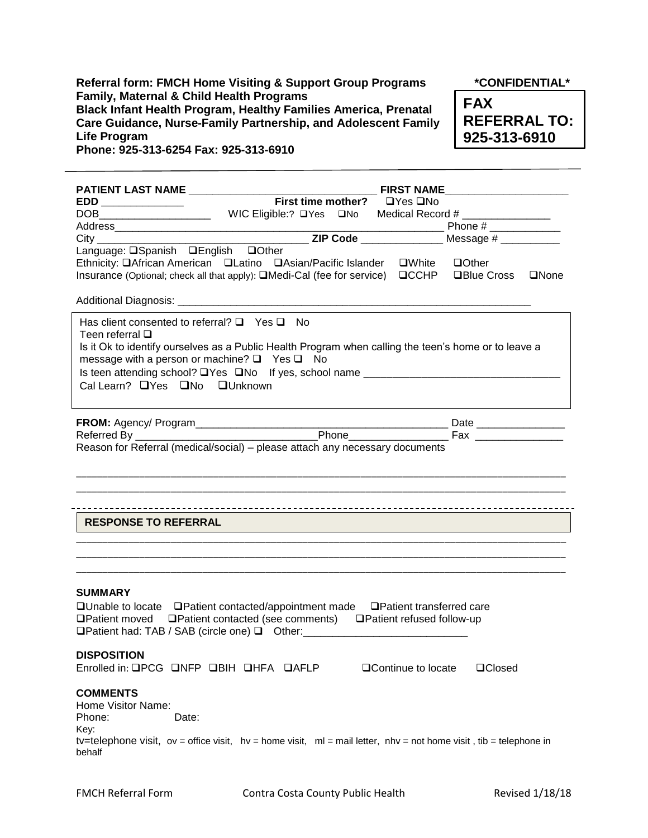**Referral form: FMCH Home Visiting & Support Group Programs \*CONFIDENTIAL\* Family, Maternal & Child Health Programs Black Infant Health Program, Healthy Families America, Prenatal Care Guidance, Nurse-Family Partnership, and Adolescent Family Life Program Phone: 925-313-6254 Fax: 925-313-6910**

**FAX REFERRAL TO: 925-313-6910**

|                                                                                                                                                                                                                                                                                         |                             |                      | <b>FIRST NAME</b> |  |
|-----------------------------------------------------------------------------------------------------------------------------------------------------------------------------------------------------------------------------------------------------------------------------------------|-----------------------------|----------------------|-------------------|--|
|                                                                                                                                                                                                                                                                                         | First time mother? DYes DNo |                      |                   |  |
|                                                                                                                                                                                                                                                                                         |                             |                      |                   |  |
|                                                                                                                                                                                                                                                                                         |                             |                      |                   |  |
|                                                                                                                                                                                                                                                                                         |                             |                      |                   |  |
| Language: <b>QSpanish</b> QEnglish QOther<br>Ethnicity: OAfrican American OLatino OAsian/Pacific Islander OWhite OOther<br>Insurance (Optional; check all that apply): <b>QMedi-Cal (fee for service)</b> QCCHP QBlue Cross QNone                                                       |                             |                      |                   |  |
| Has client consented to referral? $\Box$ Yes $\Box$ No<br>Teen referral $\square$<br>Is it Ok to identify ourselves as a Public Health Program when calling the teen's home or to leave a<br>message with a person or machine? $\Box$ Yes $\Box$ No<br>Cal Learn? La Yes La No Lunknown |                             |                      |                   |  |
|                                                                                                                                                                                                                                                                                         |                             |                      |                   |  |
|                                                                                                                                                                                                                                                                                         |                             |                      |                   |  |
| <b>RESPONSE TO REFERRAL</b>                                                                                                                                                                                                                                                             |                             |                      |                   |  |
| <b>SUMMARY</b><br>□Unable to locate □Patient contacted/appointment made □Patient transferred care<br>□Patient moved □Patient contacted (see comments) □Patient refused follow-up<br>□Patient had: TAB / SAB (circle one) □ Other: __________________________________                    |                             |                      |                   |  |
| <b>DISPOSITION</b><br>Enrolled in: QPCG QNFP QBIH QHFA QAFLP                                                                                                                                                                                                                            |                             | □ Continue to locate | <b>□Closed</b>    |  |
| <b>COMMENTS</b><br>Home Visitor Name:<br>Phone:<br>Date:<br>Key:<br>tv=telephone visit, ov = office visit, $hv = home$ visit, $ml = mail$ letter, $nhv = not$ home visit, tib = telephone in<br>behalf                                                                                  |                             |                      |                   |  |